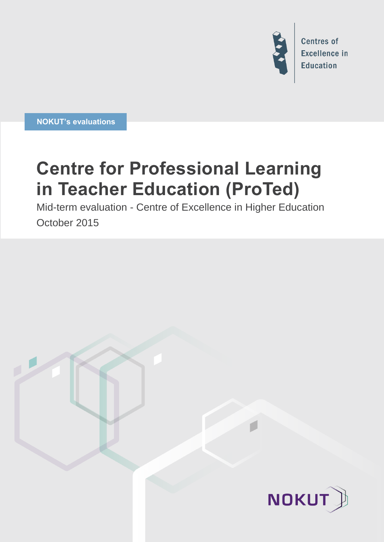

**NOKUT's evaluations**

# **Centre for Professional Learning in Teacher Education (ProTed)**

Mid-term evaluation - Centre of Excellence in Higher Education October 2015

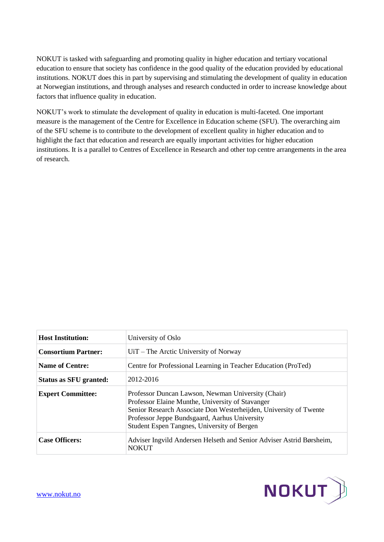NOKUT is tasked with safeguarding and promoting quality in higher education and tertiary vocational education to ensure that society has confidence in the good quality of the education provided by educational institutions. NOKUT does this in part by supervising and stimulating the development of quality in education at Norwegian institutions, and through analyses and research conducted in order to increase knowledge about factors that influence quality in education.

NOKUT's work to stimulate the development of quality in education is multi-faceted. One important measure is the management of the Centre for Excellence in Education scheme (SFU). The overarching aim of the SFU scheme is to contribute to the development of excellent quality in higher education and to highlight the fact that education and research are equally important activities for higher education institutions. It is a parallel to Centres of Excellence in Research and other top centre arrangements in the area of research.

| <b>Host Institution:</b>      | University of Oslo                                                                                                                                                                                                                                                          |
|-------------------------------|-----------------------------------------------------------------------------------------------------------------------------------------------------------------------------------------------------------------------------------------------------------------------------|
| <b>Consortium Partner:</b>    | UiT – The Arctic University of Norway                                                                                                                                                                                                                                       |
| <b>Name of Centre:</b>        | Centre for Professional Learning in Teacher Education (ProTed)                                                                                                                                                                                                              |
| <b>Status as SFU granted:</b> | 2012-2016                                                                                                                                                                                                                                                                   |
| <b>Expert Committee:</b>      | Professor Duncan Lawson, Newman University (Chair)<br>Professor Elaine Munthe, University of Stavanger<br>Senior Research Associate Don Westerheijden, University of Twente<br>Professor Jeppe Bundsgaard, Aarhus University<br>Student Espen Tangnes, University of Bergen |
| <b>Case Officers:</b>         | Adviser Ingvild Andersen Helseth and Senior Adviser Astrid Børsheim,<br><b>NOKUT</b>                                                                                                                                                                                        |

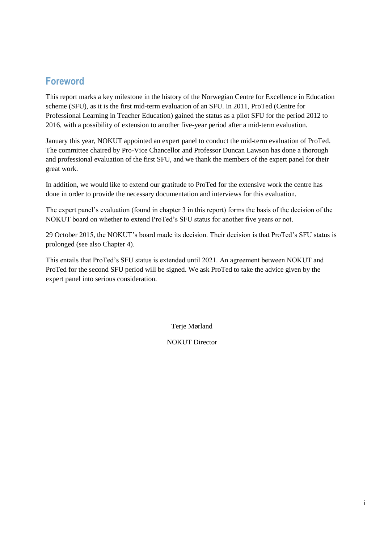## **Foreword**

This report marks a key milestone in the history of the Norwegian Centre for Excellence in Education scheme (SFU), as it is the first mid-term evaluation of an SFU. In 2011, ProTed (Centre for Professional Learning in Teacher Education) gained the status as a pilot SFU for the period 2012 to 2016, with a possibility of extension to another five-year period after a mid-term evaluation.

January this year, NOKUT appointed an expert panel to conduct the mid-term evaluation of ProTed. The committee chaired by Pro-Vice Chancellor and Professor Duncan Lawson has done a thorough and professional evaluation of the first SFU, and we thank the members of the expert panel for their great work.

In addition, we would like to extend our gratitude to ProTed for the extensive work the centre has done in order to provide the necessary documentation and interviews for this evaluation.

The expert panel's evaluation (found in chapter 3 in this report) forms the basis of the decision of the NOKUT board on whether to extend ProTed's SFU status for another five years or not.

29 October 2015, the NOKUT's board made its decision. Their decision is that ProTed's SFU status is prolonged (see also Chapter 4).

This entails that ProTed's SFU status is extended until 2021. An agreement between NOKUT and ProTed for the second SFU period will be signed. We ask ProTed to take the advice given by the expert panel into serious consideration.

Terje Mørland

NOKUT Director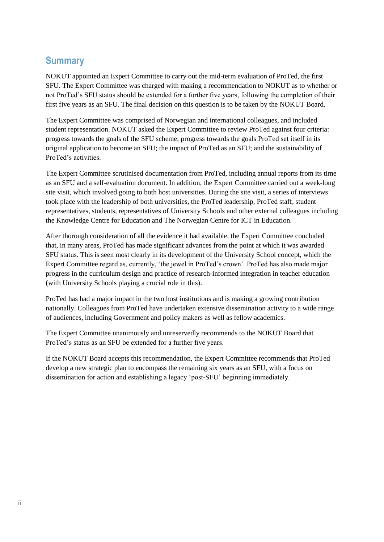### **Summary**

NOKUT appointed an Expert Committee to carry out the mid-term evaluation of ProTed, the first SFU. The Expert Committee was charged with making a recommendation to NOKUT as to whether or not ProTed's SFU status should be extended for a further five years, following the completion of their first five years as an SFU. The final decision on this question is to be taken by the NOKUT Board.

The Expert Committee was comprised of Norwegian and international colleagues, and included student representation. NOKUT asked the Expert Committee to review ProTed against four criteria: progress towards the goals of the SFU scheme; progress towards the goals ProTed set itself in its original application to become an SFU; the impact of ProTed as an SFU; and the sustainability of ProTed's activities.

The Expert Committee scrutinised documentation from ProTed, including annual reports from its time as an SFU and a self-evaluation document. In addition, the Expert Committee carried out a week-long site visit, which involved going to both host universities. During the site visit, a series of interviews took place with the leadership of both universities, the ProTed leadership, ProTed staff, student representatives, students, representatives of University Schools and other external colleagues including the Knowledge Centre for Education and The Norwegian Centre for ICT in Education.

After thorough consideration of all the evidence it had available, the Expert Committee concluded that, in many areas, ProTed has made significant advances from the point at which it was awarded SFU status. This is seen most clearly in its development of the University School concept, which the Expert Committee regard as, currently, 'the jewel in ProTed's crown'. ProTed has also made major progress in the curriculum design and practice of research-informed integration in teacher education (with University Schools playing a crucial role in this).

ProTed has had a major impact in the two host institutions and is making a growing contribution nationally. Colleagues from ProTed have undertaken extensive dissemination activity to a wide range of audiences, including Government and policy makers as well as fellow academics.

The Expert Committee unanimously and unreservedly recommends to the NOKUT Board that ProTed's status as an SFU be extended for a further five years.

If the NOKUT Board accepts this recommendation, the Expert Committee recommends that ProTed develop a new strategic plan to encompass the remaining six years as an SFU, with a focus on dissemination for action and establishing a legacy 'post-SFU' beginning immediately.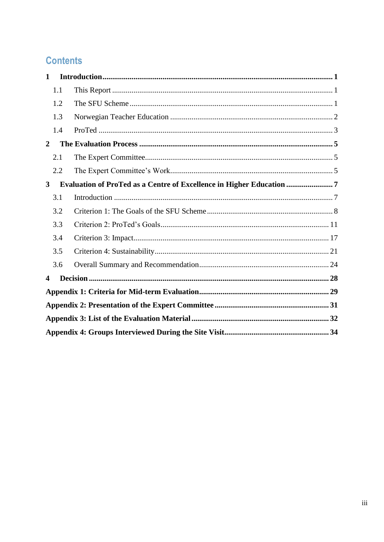# **Contents**

| $\mathbf{1}$   |     |                                                                    |  |  |
|----------------|-----|--------------------------------------------------------------------|--|--|
|                | 1.1 |                                                                    |  |  |
|                | 1.2 |                                                                    |  |  |
|                | 1.3 |                                                                    |  |  |
|                | 1.4 |                                                                    |  |  |
| $\overline{2}$ |     |                                                                    |  |  |
|                | 2.1 |                                                                    |  |  |
|                | 2.2 |                                                                    |  |  |
| $\mathbf{3}$   |     | Evaluation of ProTed as a Centre of Excellence in Higher Education |  |  |
|                | 3.1 |                                                                    |  |  |
|                | 3.2 |                                                                    |  |  |
|                | 3.3 |                                                                    |  |  |
|                | 3.4 |                                                                    |  |  |
|                | 3.5 |                                                                    |  |  |
|                | 3.6 |                                                                    |  |  |
| 4              |     |                                                                    |  |  |
|                |     |                                                                    |  |  |
|                |     |                                                                    |  |  |
|                |     |                                                                    |  |  |
|                |     |                                                                    |  |  |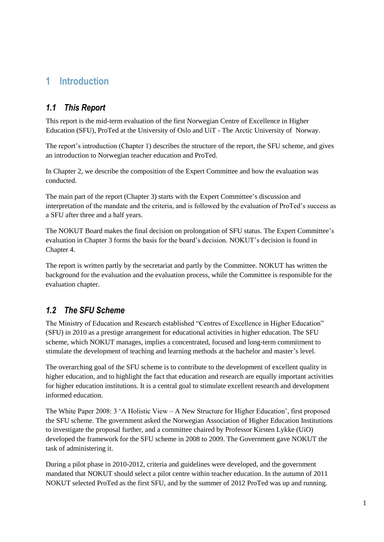# <span id="page-6-0"></span>**1 Introduction**

### <span id="page-6-1"></span>*1.1 This Report*

This report is the mid-term evaluation of the first Norwegian Centre of Excellence in Higher Education (SFU), ProTed at the University of Oslo and UiT - The Arctic University of Norway.

The report's introduction (Chapter 1) describes the structure of the report, the SFU scheme, and gives an introduction to Norwegian teacher education and ProTed.

In Chapter 2, we describe the composition of the Expert Committee and how the evaluation was conducted.

The main part of the report (Chapter 3) starts with the Expert Committee's discussion and interpretation of the mandate and the criteria, and is followed by the evaluation of ProTed's success as a SFU after three and a half years.

The NOKUT Board makes the final decision on prolongation of SFU status. The Expert Committee's evaluation in Chapter 3 forms the basis for the board's decision. NOKUT's decision is found in Chapter 4.

The report is written partly by the secretariat and partly by the Committee. NOKUT has written the background for the evaluation and the evaluation process, while the Committee is responsible for the evaluation chapter.

### <span id="page-6-2"></span>*1.2 The SFU Scheme*

The Ministry of Education and Research established "Centres of Excellence in Higher Education" (SFU) in 2010 as a prestige arrangement for educational activities in higher education. The SFU scheme, which NOKUT manages, implies a concentrated, focused and long-term commitment to stimulate the development of teaching and learning methods at the bachelor and master's level.

The overarching goal of the SFU scheme is to contribute to the development of excellent quality in higher education, and to highlight the fact that education and research are equally important activities for higher education institutions. It is a central goal to stimulate excellent research and development informed education.

The White Paper 2008: 3 'A Holistic View – A New Structure for Higher Education', first proposed the SFU scheme. The government asked the Norwegian Association of Higher Education Institutions to investigate the proposal further, and a committee chaired by Professor Kirsten Lykke (UiO) developed the framework for the SFU scheme in 2008 to 2009. The Government gave NOKUT the task of administering it.

During a pilot phase in 2010-2012, criteria and guidelines were developed, and the government mandated that NOKUT should select a pilot centre within teacher education. In the autumn of 2011 NOKUT selected ProTed as the first SFU, and by the summer of 2012 ProTed was up and running.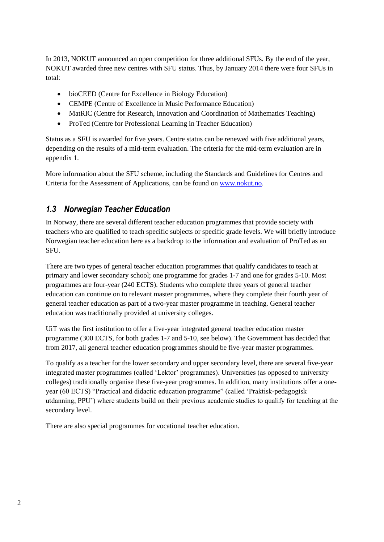In 2013, NOKUT announced an open competition for three additional SFUs. By the end of the year, NOKUT awarded three new centres with SFU status. Thus, by January 2014 there were four SFUs in total:

- bioCEED (Centre for Excellence in Biology Education)
- CEMPE (Centre of Excellence in Music Performance Education)
- MatRIC (Centre for Research, Innovation and Coordination of Mathematics Teaching)
- ProTed (Centre for Professional Learning in Teacher Education)

Status as a SFU is awarded for five years. Centre status can be renewed with five additional years, depending on the results of a mid-term evaluation. The criteria for the mid-term evaluation are in appendix 1.

More information about the SFU scheme, including the Standards and Guidelines for Centres and Criteria for the Assessment of Applications, can be found on [www.nokut.no.](http://www.nokut.no/)

### <span id="page-7-0"></span>*1.3 Norwegian Teacher Education*

In Norway, there are several different teacher education programmes that provide society with teachers who are qualified to teach specific subjects or specific grade levels. We will briefly introduce Norwegian teacher education here as a backdrop to the information and evaluation of ProTed as an SFU.

There are two types of general teacher education programmes that qualify candidates to teach at primary and lower secondary school; one programme for grades 1-7 and one for grades 5-10. Most programmes are four-year (240 ECTS). Students who complete three years of general teacher education can continue on to relevant master programmes, where they complete their fourth year of general teacher education as part of a two-year master programme in teaching. General teacher education was traditionally provided at university colleges.

UiT was the first institution to offer a five-year integrated general teacher education master programme (300 ECTS, for both grades 1-7 and 5-10, see below). The Government has decided that from 2017, all general teacher education programmes should be five-year master programmes.

To qualify as a teacher for the lower secondary and upper secondary level, there are several five-year integrated master programmes (called 'Lektor' programmes). Universities (as opposed to university colleges) traditionally organise these five-year programmes. In addition, many institutions offer a oneyear (60 ECTS) "Practical and didactic education programme" (called 'Praktisk-pedagogisk utdanning, PPU') where students build on their previous academic studies to qualify for teaching at the secondary level.

There are also special programmes for vocational teacher education.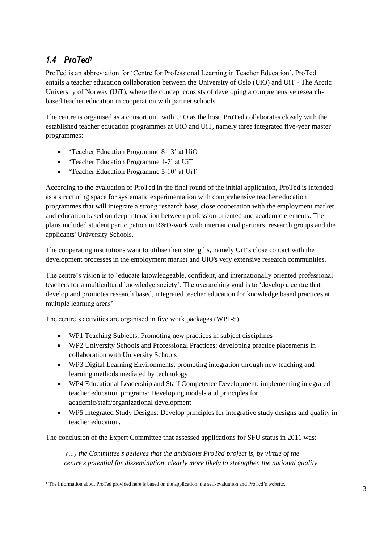### <span id="page-8-0"></span>*1.4 ProTed<sup>1</sup>*

ProTed is an abbreviation for 'Centre for Professional Learning in Teacher Education'. ProTed entails a teacher education collaboration between the University of Oslo (UiO) and UiT - The Arctic University of Norway (UiT), where the concept consists of developing a comprehensive researchbased teacher education in cooperation with partner schools.

The centre is organised as a consortium, with UiO as the host. ProTed collaborates closely with the established teacher education programmes at UiO and UiT, namely three integrated five-year master programmes:

- 'Teacher Education Programme 8-13' at UiO
- 'Teacher Education Programme 1-7' at UiT
- 'Teacher Education Programme 5-10' at UiT

According to the evaluation of ProTed in the final round of the initial application, ProTed is intended as a structuring space for systematic experimentation with comprehensive teacher education programmes that will integrate a strong research base, close cooperation with the employment market and education based on deep interaction between profession-oriented and academic elements. The plans included student participation in R&D-work with international partners, research groups and the applicants' University Schools.

The cooperating institutions want to utilise their strengths, namely UiT's close contact with the development processes in the employment market and UiO's very extensive research communities.

The centre's vision is to 'educate knowledgeable, confident, and internationally oriented professional teachers for a multicultural knowledge society'. The overarching goal is to 'develop a centre that develop and promotes research based, integrated teacher education for knowledge based practices at multiple learning areas'.

The centre's activities are organised in five work packages (WP1-5):

- WP1 Teaching Subjects: Promoting new practices in subject disciplines
- WP2 University Schools and Professional Practices: developing practice placements in collaboration with University Schools
- WP3 Digital Learning Environments: promoting integration through new teaching and learning methods mediated by technology
- WP4 Educational Leadership and Staff Competence Development: implementing integrated teacher education programs: Developing models and principles for academic/staff/organizational development
- WP5 Integrated Study Designs: Develop principles for integrative study designs and quality in teacher education.

The conclusion of the Expert Committee that assessed applications for SFU status in 2011 was:

*(…) the Committee's believes that the ambitious ProTed project is, by virtue of the centre's potential for dissemination, clearly more likely to strengthen the national quality* 

<sup>&</sup>lt;sup>1</sup> The information about ProTed provided here is based on the application, the self-evaluation and ProTed's website.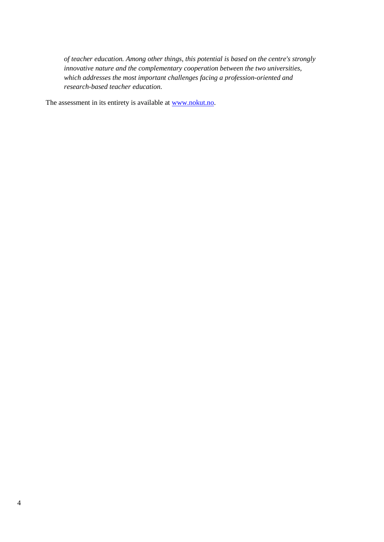*of teacher education. Among other things, this potential is based on the centre's strongly innovative nature and the complementary cooperation between the two universities, which addresses the most important challenges facing a profession-oriented and research-based teacher education.* 

The assessment in its entirety is available at [www.nokut.no.](http://www.nokut.no/)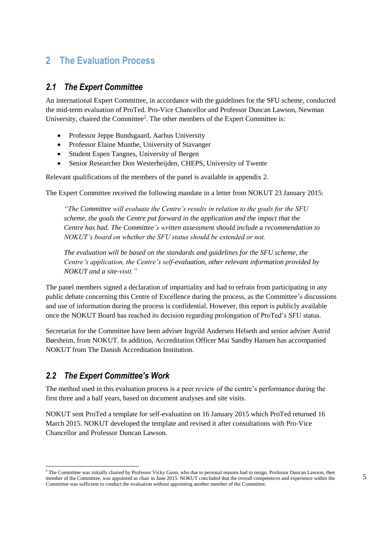# <span id="page-10-0"></span>**2 The Evaluation Process**

#### <span id="page-10-1"></span>*2.1 The Expert Committee*

An international Expert Committee, in accordance with the guidelines for the SFU scheme, conducted the mid-term evaluation of ProTed. Pro-Vice Chancellor and Professor Duncan Lawson, Newman University, chaired the Committee<sup>2</sup>. The other members of the Expert Committee is:

- Professor Jeppe Bundsgaard, Aarhus University
- Professor Elaine Munthe, University of Stavanger
- Student Espen Tangnes, University of Bergen
- Senior Researcher Don Westerheijden, CHEPS, University of Twente

Relevant qualifications of the members of the panel is available in appendix 2.

The Expert Committee received the following mandate in a letter from NOKUT 23 January 2015:

*"The Committee will evaluate the Centre's results in relation to the goals for the SFU scheme, the goals the Centre put forward in the application and the impact that the Centre has had. The Committee's written assessment should include a recommendation to NOKUT's board on whether the SFU status should be extended or not.*

*The evaluation will be based on the standards and guidelines for the SFU scheme, the Centre's application, the Centre's self-evaluation, other relevant information provided by NOKUT and a site-visit."*

The panel members signed a declaration of impartiality and had to refrain from participating in any public debate concerning this Centre of Excellence during the process, as the Committee's discussions and use of information during the process is confidential. However, this report is publicly available once the NOKUT Board has reached its decision regarding prolongation of ProTed's SFU status.

Secretariat for the Committee have been adviser Ingvild Andersen Helseth and senior adviser Astrid Børsheim, from NOKUT. In addition, Accreditation Officer Mai Sandby Hansen has accompanied NOKUT from The Danish Accreditation Institution.

### <span id="page-10-2"></span>*2.2 The Expert Committee's Work*

The method used in this evaluation process is a peer review of the centre's performance during the first three and a half years, based on document analyses and site visits.

NOKUT sent ProTed a template for self-evaluation on 16 January 2015 which ProTed returned 16 March 2015. NOKUT developed the template and revised it after consultations with Pro-Vice Chancellor and Professor Duncan Lawson.

<sup>&</sup>lt;sup>2</sup> The Committee was initially chaired by Professor Vicky Gunn, who due to personal reasons had to resign. Professor Duncan Lawson, then member of the Committee, was appointed as chair in June 2015. NOKUT concluded that the overall competences and experience within the Committee was sufficient to conduct the evaluation without appointing another member of the Committee.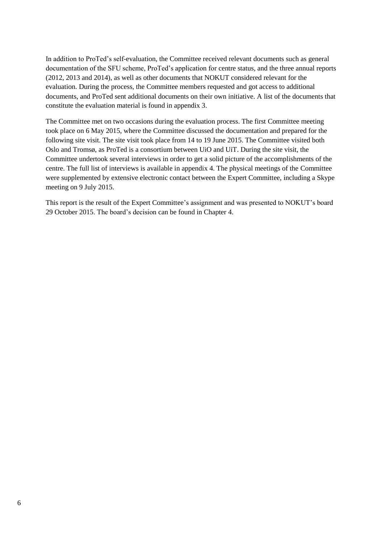In addition to ProTed's self-evaluation, the Committee received relevant documents such as general documentation of the SFU scheme, ProTed's application for centre status, and the three annual reports (2012, 2013 and 2014), as well as other documents that NOKUT considered relevant for the evaluation. During the process, the Committee members requested and got access to additional documents, and ProTed sent additional documents on their own initiative. A list of the documents that constitute the evaluation material is found in appendix 3.

The Committee met on two occasions during the evaluation process. The first Committee meeting took place on 6 May 2015, where the Committee discussed the documentation and prepared for the following site visit. The site visit took place from 14 to 19 June 2015. The Committee visited both Oslo and Tromsø, as ProTed is a consortium between UiO and UiT. During the site visit, the Committee undertook several interviews in order to get a solid picture of the accomplishments of the centre. The full list of interviews is available in appendix 4. The physical meetings of the Committee were supplemented by extensive electronic contact between the Expert Committee, including a Skype meeting on 9 July 2015.

This report is the result of the Expert Committee's assignment and was presented to NOKUT's board 29 October 2015. The board's decision can be found in Chapter 4.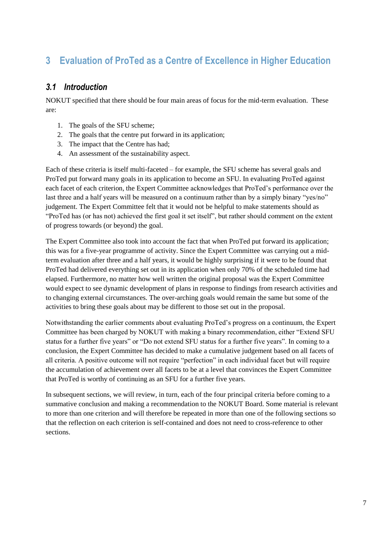# <span id="page-12-0"></span>**3 Evaluation of ProTed as a Centre of Excellence in Higher Education**

#### <span id="page-12-1"></span>*3.1 Introduction*

NOKUT specified that there should be four main areas of focus for the mid-term evaluation. These are:

- 1. The goals of the SFU scheme;
- 2. The goals that the centre put forward in its application;
- 3. The impact that the Centre has had;
- 4. An assessment of the sustainability aspect.

Each of these criteria is itself multi-faceted – for example, the SFU scheme has several goals and ProTed put forward many goals in its application to become an SFU. In evaluating ProTed against each facet of each criterion, the Expert Committee acknowledges that ProTed's performance over the last three and a half years will be measured on a continuum rather than by a simply binary "yes/no" judgement. The Expert Committee felt that it would not be helpful to make statements should as "ProTed has (or has not) achieved the first goal it set itself", but rather should comment on the extent of progress towards (or beyond) the goal.

The Expert Committee also took into account the fact that when ProTed put forward its application; this was for a five-year programme of activity. Since the Expert Committee was carrying out a midterm evaluation after three and a half years, it would be highly surprising if it were to be found that ProTed had delivered everything set out in its application when only 70% of the scheduled time had elapsed. Furthermore, no matter how well written the original proposal was the Expert Committee would expect to see dynamic development of plans in response to findings from research activities and to changing external circumstances. The over-arching goals would remain the same but some of the activities to bring these goals about may be different to those set out in the proposal.

Notwithstanding the earlier comments about evaluating ProTed's progress on a continuum, the Expert Committee has been charged by NOKUT with making a binary recommendation, either "Extend SFU status for a further five years" or "Do not extend SFU status for a further five years". In coming to a conclusion, the Expert Committee has decided to make a cumulative judgement based on all facets of all criteria. A positive outcome will not require "perfection" in each individual facet but will require the accumulation of achievement over all facets to be at a level that convinces the Expert Committee that ProTed is worthy of continuing as an SFU for a further five years.

In subsequent sections, we will review, in turn, each of the four principal criteria before coming to a summative conclusion and making a recommendation to the NOKUT Board. Some material is relevant to more than one criterion and will therefore be repeated in more than one of the following sections so that the reflection on each criterion is self-contained and does not need to cross-reference to other sections.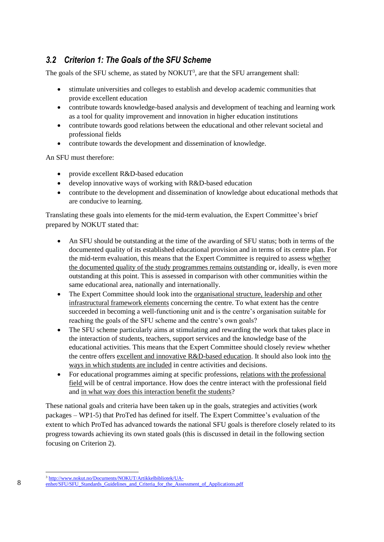### <span id="page-13-0"></span>*3.2 Criterion 1: The Goals of the SFU Scheme*

The goals of the SFU scheme, as stated by  $NOKUT<sup>3</sup>$ , are that the SFU arrangement shall:

- stimulate universities and colleges to establish and develop academic communities that provide excellent education
- contribute towards knowledge-based analysis and development of teaching and learning work as a tool for quality improvement and innovation in higher education institutions
- contribute towards good relations between the educational and other relevant societal and professional fields
- contribute towards the development and dissemination of knowledge.

An SFU must therefore:

- provide excellent R&D-based education
- develop innovative ways of working with R&D-based education
- contribute to the development and dissemination of knowledge about educational methods that are conducive to learning.

Translating these goals into elements for the mid-term evaluation, the Expert Committee's brief prepared by NOKUT stated that:

- An SFU should be outstanding at the time of the awarding of SFU status; both in terms of the documented quality of its established educational provision and in terms of its centre plan. For the mid-term evaluation, this means that the Expert Committee is required to assess whether the documented quality of the study programmes remains outstanding or, ideally, is even more outstanding at this point. This is assessed in comparison with other communities within the same educational area, nationally and internationally.
- The Expert Committee should look into the organisational structure, leadership and other infrastructural framework elements concerning the centre. To what extent has the centre succeeded in becoming a well-functioning unit and is the centre's organisation suitable for reaching the goals of the SFU scheme and the centre's own goals?
- The SFU scheme particularly aims at stimulating and rewarding the work that takes place in the interaction of students, teachers, support services and the knowledge base of the educational activities. This means that the Expert Committee should closely review whether the centre offers excellent and innovative R&D-based education. It should also look into the ways in which students are included in centre activities and decisions.
- For educational programmes aiming at specific professions, relations with the professional field will be of central importance. How does the centre interact with the professional field and in what way does this interaction benefit the students?

These national goals and criteria have been taken up in the goals, strategies and activities (work packages – WP1-5) that ProTed has defined for itself. The Expert Committee's evaluation of the extent to which ProTed has advanced towards the national SFU goals is therefore closely related to its progress towards achieving its own stated goals (this is discussed in detail in the following section focusing on Criterion 2).

<sup>&</sup>lt;sup>3</sup> [http://www.nokut.no/Documents/NOKUT/Artikkelbibliotek/UA-](http://www.nokut.no/Documents/NOKUT/Artikkelbibliotek/UA-enhet/SFU/SFU_Standards_Guidelines_and_Criteria_for_the_Assessment_of_Applications.pdf)

[enhet/SFU/SFU\\_Standards\\_Guidelines\\_and\\_Criteria\\_for\\_the\\_Assessment\\_of\\_Applications.pdf](http://www.nokut.no/Documents/NOKUT/Artikkelbibliotek/UA-enhet/SFU/SFU_Standards_Guidelines_and_Criteria_for_the_Assessment_of_Applications.pdf)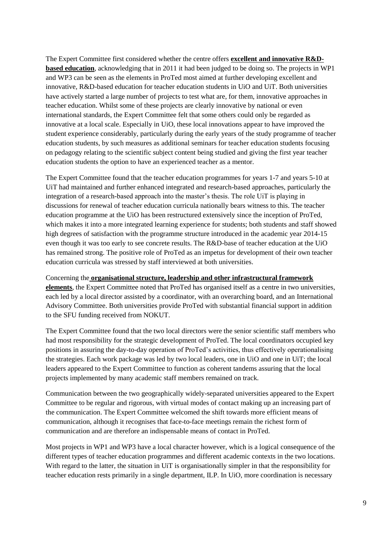The Expert Committee first considered whether the centre offers **excellent and innovative R&Dbased education**, acknowledging that in 2011 it had been judged to be doing so. The projects in WP1 and WP3 can be seen as the elements in ProTed most aimed at further developing excellent and innovative, R&D-based education for teacher education students in UiO and UiT. Both universities have actively started a large number of projects to test what are, for them, innovative approaches in teacher education. Whilst some of these projects are clearly innovative by national or even international standards, the Expert Committee felt that some others could only be regarded as innovative at a local scale. Especially in UiO, these local innovations appear to have improved the student experience considerably, particularly during the early years of the study programme of teacher education students, by such measures as additional seminars for teacher education students focusing on pedagogy relating to the scientific subject content being studied and giving the first year teacher education students the option to have an experienced teacher as a mentor.

The Expert Committee found that the teacher education programmes for years 1-7 and years 5-10 at UiT had maintained and further enhanced integrated and research-based approaches, particularly the integration of a research-based approach into the master's thesis. The role UiT is playing in discussions for renewal of teacher education curricula nationally bears witness to this. The teacher education programme at the UiO has been restructured extensively since the inception of ProTed, which makes it into a more integrated learning experience for students; both students and staff showed high degrees of satisfaction with the programme structure introduced in the academic year 2014-15 even though it was too early to see concrete results. The R&D-base of teacher education at the UiO has remained strong. The positive role of ProTed as an impetus for development of their own teacher education curricula was stressed by staff interviewed at both universities.

Concerning the **organisational structure, leadership and other infrastructural framework elements**, the Expert Committee noted that ProTed has organised itself as a centre in two universities, each led by a local director assisted by a coordinator, with an overarching board, and an International Advisory Committee. Both universities provide ProTed with substantial financial support in addition to the SFU funding received from NOKUT.

The Expert Committee found that the two local directors were the senior scientific staff members who had most responsibility for the strategic development of ProTed. The local coordinators occupied key positions in assuring the day-to-day operation of ProTed's activities, thus effectively operationalising the strategies. Each work package was led by two local leaders, one in UiO and one in UiT; the local leaders appeared to the Expert Committee to function as coherent tandems assuring that the local projects implemented by many academic staff members remained on track.

Communication between the two geographically widely-separated universities appeared to the Expert Committee to be regular and rigorous, with virtual modes of contact making up an increasing part of the communication. The Expert Committee welcomed the shift towards more efficient means of communication, although it recognises that face-to-face meetings remain the richest form of communication and are therefore an indispensable means of contact in ProTed.

Most projects in WP1 and WP3 have a local character however, which is a logical consequence of the different types of teacher education programmes and different academic contexts in the two locations. With regard to the latter, the situation in UiT is organisationally simpler in that the responsibility for teacher education rests primarily in a single department, ILP. In UiO, more coordination is necessary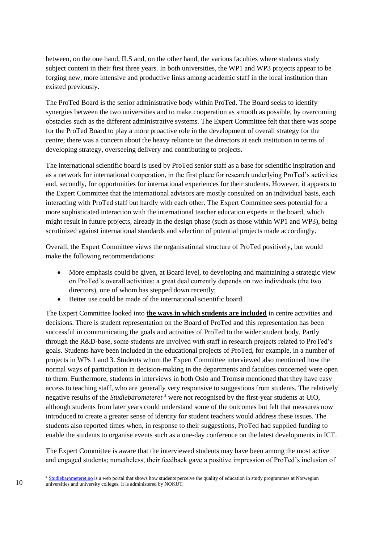between, on the one hand, ILS and, on the other hand, the various faculties where students study subject content in their first three years. In both universities, the WP1 and WP3 projects appear to be forging new, more intensive and productive links among academic staff in the local institution than existed previously.

The ProTed Board is the senior administrative body within ProTed. The Board seeks to identify synergies between the two universities and to make cooperation as smooth as possible, by overcoming obstacles such as the different administrative systems. The Expert Committee felt that there was scope for the ProTed Board to play a more proactive role in the development of overall strategy for the centre; there was a concern about the heavy reliance on the directors at each institution in terms of developing strategy, overseeing delivery and contributing to projects.

The international scientific board is used by ProTed senior staff as a base for scientific inspiration and as a network for international cooperation, in the first place for research underlying ProTed's activities and, secondly, for opportunities for international experiences for their students. However, it appears to the Expert Committee that the international advisors are mostly consulted on an individual basis, each interacting with ProTed staff but hardly with each other. The Expert Committee sees potential for a more sophisticated interaction with the international teacher education experts in the board, which might result in future projects, already in the design phase (such as those within WP1 and WP3), being scrutinized against international standards and selection of potential projects made accordingly.

Overall, the Expert Committee views the organisational structure of ProTed positively, but would make the following recommendations:

- More emphasis could be given, at Board level, to developing and maintaining a strategic view on ProTed's overall activities; a great deal currently depends on two individuals (the two directors), one of whom has stepped down recently;
- Better use could be made of the international scientific board.

The Expert Committee looked into **the ways in which students are included** in centre activities and decisions. There is student representation on the Board of ProTed and this representation has been successful in communicating the goals and activities of ProTed to the wider student body. Partly through the R&D-base, some students are involved with staff in research projects related to ProTed's goals. Students have been included in the educational projects of ProTed, for example, in a number of projects in WPs 1 and 3. Students whom the Expert Committee interviewed also mentioned how the normal ways of participation in decision-making in the departments and faculties concerned were open to them. Furthermore, students in interviews in both Oslo and Tromsø mentioned that they have easy access to teaching staff, who are generally very responsive to suggestions from students. The relatively negative results of the *Studiebarometeret* <sup>4</sup> were not recognised by the first-year students at UiO, although students from later years could understand some of the outcomes but felt that measures now introduced to create a greater sense of identity for student teachers would address these issues. The students also reported times when, in response to their suggestions, ProTed had supplied funding to enable the students to organise events such as a one-day conference on the latest developments in ICT.

The Expert Committee is aware that the interviewed students may have been among the most active and engaged students; nonetheless, their feedback gave a positive impression of ProTed's inclusion of

<sup>&</sup>lt;sup>4</sup> [Studiebarometeret.no](http://studiebarometeret.no/en/) is a web portal that shows how students perceive the quality of education in study programmes at Norwegian universities and university colleges. It is administered by NOKUT.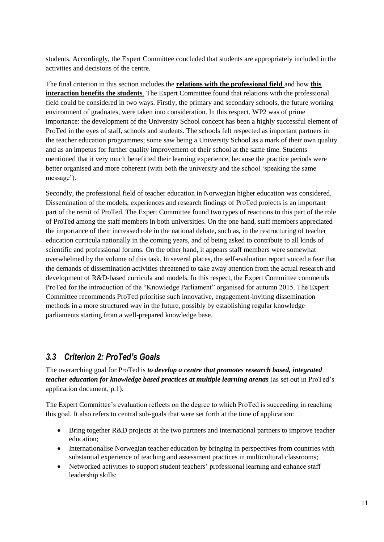students. Accordingly, the Expert Committee concluded that students are appropriately included in the activities and decisions of the centre.

The final criterion in this section includes the **relations with the professional field** and how **this interaction benefits the students**. The Expert Committee found that relations with the professional field could be considered in two ways. Firstly, the primary and secondary schools, the future working environment of graduates, were taken into consideration. In this respect, WP2 was of prime importance: the development of the University School concept has been a highly successful element of ProTed in the eyes of staff, schools and students. The schools felt respected as important partners in the teacher education programmes; some saw being a University School as a mark of their own quality and as an impetus for further quality improvement of their school at the same time. Students mentioned that it very much benefitted their learning experience, because the practice periods were better organised and more coherent (with both the university and the school 'speaking the same message').

Secondly, the professional field of teacher education in Norwegian higher education was considered. Dissemination of the models, experiences and research findings of ProTed projects is an important part of the remit of ProTed. The Expert Committee found two types of reactions to this part of the role of ProTed among the staff members in both universities. On the one hand, staff members appreciated the importance of their increased role in the national debate, such as, in the restructuring of teacher education curricula nationally in the coming years, and of being asked to contribute to all kinds of scientific and professional forums. On the other hand, it appears staff members were somewhat overwhelmed by the volume of this task. In several places, the self-evaluation report voiced a fear that the demands of dissemination activities threatened to take away attention from the actual research and development of R&D-based curricula and models. In this respect, the Expert Committee commends ProTed for the introduction of the "Knowledge Parliament" organised for autumn 2015. The Expert Committee recommends ProTed prioritise such innovative, engagement-inviting dissemination methods in a more structured way in the future, possibly by establishing regular knowledge parliaments starting from a well-prepared knowledge base.

### <span id="page-16-0"></span>*3.3 Criterion 2: ProTed's Goals*

The overarching goal for ProTed is *to develop a centre that promotes research based, integrated teacher education for knowledge based practices at multiple learning arenas* (as set out in ProTed's application document, p.1).

The Expert Committee's evaluation reflects on the degree to which ProTed is succeeding in reaching this goal. It also refers to central sub-goals that were set forth at the time of application:

- Bring together R&D projects at the two partners and international partners to improve teacher education;
- Internationalise Norwegian teacher education by bringing in perspectives from countries with substantial experience of teaching and assessment practices in multicultural classrooms;
- Networked activities to support student teachers' professional learning and enhance staff leadership skills;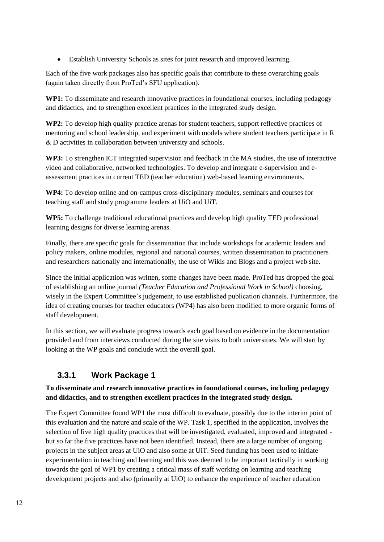Establish University Schools as sites for joint research and improved learning.

Each of the five work packages also has specific goals that contribute to these overarching goals (again taken directly from ProTed's SFU application).

**WP1:** To disseminate and research innovative practices in foundational courses, including pedagogy and didactics, and to strengthen excellent practices in the integrated study design.

**WP2:** To develop high quality practice arenas for student teachers, support reflective practices of mentoring and school leadership, and experiment with models where student teachers participate in R & D activities in collaboration between university and schools.

**WP3:** To strengthen ICT integrated supervision and feedback in the MA studies, the use of interactive video and collaborative, networked technologies. To develop and integrate e-supervision and eassessment practices in current TED (teacher education) web-based learning environments.

**WP4:** To develop online and on-campus cross-disciplinary modules, seminars and courses for teaching staff and study programme leaders at UiO and UiT.

**WP5:** To challenge traditional educational practices and develop high quality TED professional learning designs for diverse learning arenas.

Finally, there are specific goals for dissemination that include workshops for academic leaders and policy makers, online modules, regional and national courses, written dissemination to practitioners and researchers nationally and internationally, the use of Wikis and Blogs and a project web site.

Since the initial application was written, some changes have been made. ProTed has dropped the goal of establishing an online journal *(Teacher Education and Professional Work in School)* choosing, wisely in the Expert Committee's judgement, to use established publication channels. Furthermore, the idea of creating courses for teacher educators (WP4) has also been modified to more organic forms of staff development.

In this section, we will evaluate progress towards each goal based on evidence in the documentation provided and from interviews conducted during the site visits to both universities. We will start by looking at the WP goals and conclude with the overall goal.

### **3.3.1 Work Package 1**

#### **To disseminate and research innovative practices in foundational courses, including pedagogy and didactics, and to strengthen excellent practices in the integrated study design.**

The Expert Committee found WP1 the most difficult to evaluate, possibly due to the interim point of this evaluation and the nature and scale of the WP. Task 1, specified in the application, involves the selection of five high quality practices that will be investigated, evaluated, improved and integrated but so far the five practices have not been identified. Instead, there are a large number of ongoing projects in the subject areas at UiO and also some at UiT. Seed funding has been used to initiate experimentation in teaching and learning and this was deemed to be important tactically in working towards the goal of WP1 by creating a critical mass of staff working on learning and teaching development projects and also (primarily at UiO) to enhance the experience of teacher education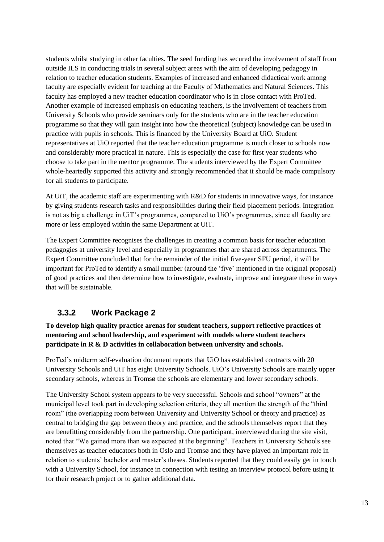students whilst studying in other faculties. The seed funding has secured the involvement of staff from outside ILS in conducting trials in several subject areas with the aim of developing pedagogy in relation to teacher education students. Examples of increased and enhanced didactical work among faculty are especially evident for teaching at the Faculty of Mathematics and Natural Sciences. This faculty has employed a new teacher education coordinator who is in close contact with ProTed. Another example of increased emphasis on educating teachers, is the involvement of teachers from University Schools who provide seminars only for the students who are in the teacher education programme so that they will gain insight into how the theoretical (subject) knowledge can be used in practice with pupils in schools. This is financed by the University Board at UiO. Student representatives at UiO reported that the teacher education programme is much closer to schools now and considerably more practical in nature. This is especially the case for first year students who choose to take part in the mentor programme. The students interviewed by the Expert Committee whole-heartedly supported this activity and strongly recommended that it should be made compulsory for all students to participate.

At UiT, the academic staff are experimenting with R&D for students in innovative ways, for instance by giving students research tasks and responsibilities during their field placement periods. Integration is not as big a challenge in UiT's programmes, compared to UiO's programmes, since all faculty are more or less employed within the same Department at UiT.

The Expert Committee recognises the challenges in creating a common basis for teacher education pedagogies at university level and especially in programmes that are shared across departments. The Expert Committee concluded that for the remainder of the initial five-year SFU period, it will be important for ProTed to identify a small number (around the 'five' mentioned in the original proposal) of good practices and then determine how to investigate, evaluate, improve and integrate these in ways that will be sustainable.

### **3.3.2 Work Package 2**

**To develop high quality practice arenas for student teachers, support reflective practices of mentoring and school leadership, and experiment with models where student teachers participate in R & D activities in collaboration between university and schools.**

ProTed's midterm self-evaluation document reports that UiO has established contracts with 20 University Schools and UiT has eight University Schools. UiO's University Schools are mainly upper secondary schools, whereas in Tromsø the schools are elementary and lower secondary schools.

The University School system appears to be very successful. Schools and school "owners" at the municipal level took part in developing selection criteria, they all mention the strength of the "third room" (the overlapping room between University and University School or theory and practice) as central to bridging the gap between theory and practice, and the schools themselves report that they are benefitting considerably from the partnership. One participant, interviewed during the site visit, noted that "We gained more than we expected at the beginning". Teachers in University Schools see themselves as teacher educators both in Oslo and Tromsø and they have played an important role in relation to students' bachelor and master's theses. Students reported that they could easily get in touch with a University School, for instance in connection with testing an interview protocol before using it for their research project or to gather additional data.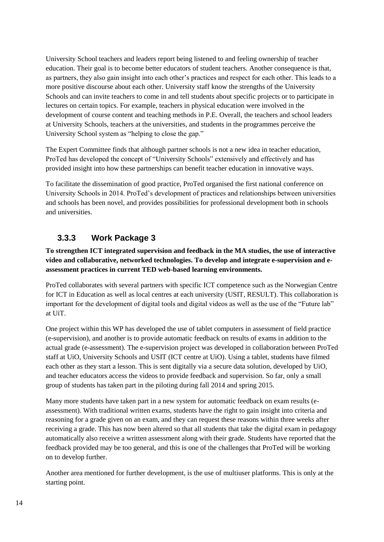University School teachers and leaders report being listened to and feeling ownership of teacher education. Their goal is to become better educators of student teachers. Another consequence is that, as partners, they also gain insight into each other's practices and respect for each other. This leads to a more positive discourse about each other. University staff know the strengths of the University Schools and can invite teachers to come in and tell students about specific projects or to participate in lectures on certain topics. For example, teachers in physical education were involved in the development of course content and teaching methods in P.E. Overall, the teachers and school leaders at University Schools, teachers at the universities, and students in the programmes perceive the University School system as "helping to close the gap."

The Expert Committee finds that although partner schools is not a new idea in teacher education, ProTed has developed the concept of "University Schools" extensively and effectively and has provided insight into how these partnerships can benefit teacher education in innovative ways.

To facilitate the dissemination of good practice, ProTed organised the first national conference on University Schools in 2014. ProTed's development of practices and relationships between universities and schools has been novel, and provides possibilities for professional development both in schools and universities.

### **3.3.3 Work Package 3**

#### **To strengthen ICT integrated supervision and feedback in the MA studies, the use of interactive video and collaborative, networked technologies. To develop and integrate e-supervision and eassessment practices in current TED web-based learning environments.**

ProTed collaborates with several partners with specific ICT competence such as the Norwegian Centre for ICT in Education as well as local centres at each university (USIT, RESULT). This collaboration is important for the development of digital tools and digital videos as well as the use of the "Future lab" at UiT.

One project within this WP has developed the use of tablet computers in assessment of field practice (e-supervision), and another is to provide automatic feedback on results of exams in addition to the actual grade (e-assessment). The e-supervision project was developed in collaboration between ProTed staff at UiO, University Schools and USIT (ICT centre at UiO). Using a tablet, students have filmed each other as they start a lesson. This is sent digitally via a secure data solution, developed by UiO, and teacher educators access the videos to provide feedback and supervision. So far, only a small group of students has taken part in the piloting during fall 2014 and spring 2015.

Many more students have taken part in a new system for automatic feedback on exam results (eassessment). With traditional written exams, students have the right to gain insight into criteria and reasoning for a grade given on an exam, and they can request these reasons within three weeks after receiving a grade. This has now been altered so that all students that take the digital exam in pedagogy automatically also receive a written assessment along with their grade. Students have reported that the feedback provided may be too general, and this is one of the challenges that ProTed will be working on to develop further.

Another area mentioned for further development, is the use of multiuser platforms. This is only at the starting point.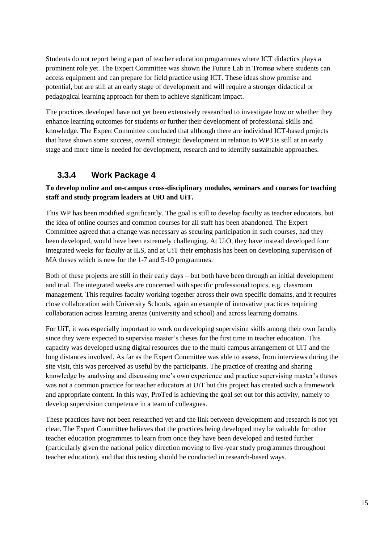Students do not report being a part of teacher education programmes where ICT didactics plays a prominent role yet. The Expert Committee was shown the Future Lab in Tromsø where students can access equipment and can prepare for field practice using ICT. These ideas show promise and potential, but are still at an early stage of development and will require a stronger didactical or pedagogical learning approach for them to achieve significant impact.

The practices developed have not yet been extensively researched to investigate how or whether they enhance learning outcomes for students or further their development of professional skills and knowledge. The Expert Committee concluded that although there are individual ICT-based projects that have shown some success, overall strategic development in relation to WP3 is still at an early stage and more time is needed for development, research and to identify sustainable approaches.

### **3.3.4 Work Package 4**

#### **To develop online and on-campus cross-disciplinary modules, seminars and courses for teaching staff and study program leaders at UiO and UiT.**

This WP has been modified significantly. The goal is still to develop faculty as teacher educators, but the idea of online courses and common courses for all staff has been abandoned. The Expert Committee agreed that a change was necessary as securing participation in such courses, had they been developed, would have been extremely challenging. At UiO, they have instead developed four integrated weeks for faculty at ILS, and at UiT their emphasis has been on developing supervision of MA theses which is new for the 1-7 and 5-10 programmes.

Both of these projects are still in their early days – but both have been through an initial development and trial. The integrated weeks are concerned with specific professional topics, e.g. classroom management. This requires faculty working together across their own specific domains, and it requires close collaboration with University Schools, again an example of innovative practices requiring collaboration across learning arenas (university and school) and across learning domains.

For UiT, it was especially important to work on developing supervision skills among their own faculty since they were expected to supervise master's theses for the first time in teacher education. This capacity was developed using digital resources due to the multi-campus arrangement of UiT and the long distances involved. As far as the Expert Committee was able to assess, from interviews during the site visit, this was perceived as useful by the participants. The practice of creating and sharing knowledge by analysing and discussing one's own experience and practice supervising master's theses was not a common practice for teacher educators at UiT but this project has created such a framework and appropriate content. In this way, ProTed is achieving the goal set out for this activity, namely to develop supervision competence in a team of colleagues.

These practices have not been researched yet and the link between development and research is not yet clear. The Expert Committee believes that the practices being developed may be valuable for other teacher education programmes to learn from once they have been developed and tested further (particularly given the national policy direction moving to five-year study programmes throughout teacher education), and that this testing should be conducted in research-based ways.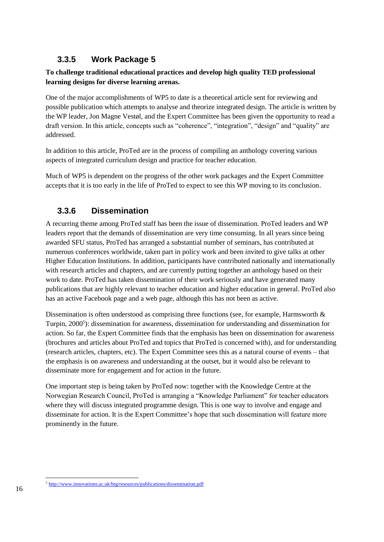### **3.3.5 Work Package 5**

#### **To challenge traditional educational practices and develop high quality TED professional learning designs for diverse learning arenas.**

One of the major accomplishments of WP5 to date is a theoretical article sent for reviewing and possible publication which attempts to analyse and theorize integrated design. The article is written by the WP leader, Jon Magne Vestøl, and the Expert Committee has been given the opportunity to read a draft version. In this article, concepts such as "coherence", "integration", "design" and "quality" are addressed.

In addition to this article, ProTed are in the process of compiling an anthology covering various aspects of integrated curriculum design and practice for teacher education.

Much of WP5 is dependent on the progress of the other work packages and the Expert Committee accepts that it is too early in the life of ProTed to expect to see this WP moving to its conclusion.

### **3.3.6 Dissemination**

A recurring theme among ProTed staff has been the issue of dissemination. ProTed leaders and WP leaders report that the demands of dissemination are very time consuming. In all years since being awarded SFU status, ProTed has arranged a substantial number of seminars, has contributed at numerous conferences worldwide, taken part in policy work and been invited to give talks at other Higher Education Institutions. In addition, participants have contributed nationally and internationally with research articles and chapters, and are currently putting together an anthology based on their work to date. ProTed has taken dissemination of their work seriously and have generated many publications that are highly relevant to teacher education and higher education in general. ProTed also has an active Facebook page and a web page, although this has not been as active.

Dissemination is often understood as comprising three functions (see, for example, Harmsworth  $\&$ Turpin, 2000<sup>5</sup>): dissemination for awareness, dissemination for understanding and dissemination for action. So far, the Expert Committee finds that the emphasis has been on dissemination for awareness (brochures and articles about ProTed and topics that ProTed is concerned with), and for understanding (research articles, chapters, etc). The Expert Committee sees this as a natural course of events – that the emphasis is on awareness and understanding at the outset, but it would also be relevant to disseminate more for engagement and for action in the future.

One important step is being taken by ProTed now: together with the Knowledge Centre at the Norwegian Research Council, ProTed is arranging a "Knowledge Parliament" for teacher educators where they will discuss integrated programme design. This is one way to involve and engage and disseminate for action. It is the Expert Committee's hope that such dissemination will feature more prominently in the future.

<sup>5</sup> <http://www.innovations.ac.uk/btg/resources/publications/dissemination.pdf>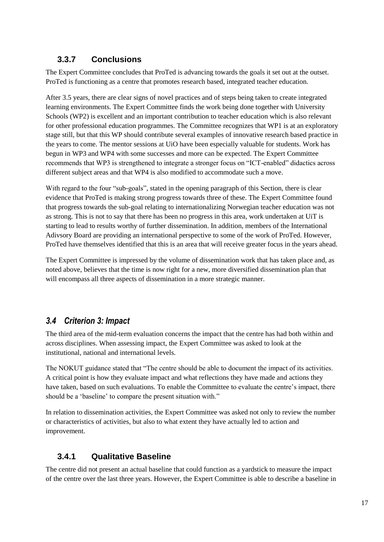### **3.3.7 Conclusions**

The Expert Committee concludes that ProTed is advancing towards the goals it set out at the outset. ProTed is functioning as a centre that promotes research based, integrated teacher education.

After 3.5 years, there are clear signs of novel practices and of steps being taken to create integrated learning environments. The Expert Committee finds the work being done together with University Schools (WP2) is excellent and an important contribution to teacher education which is also relevant for other professional education programmes. The Committee recognizes that WP1 is at an exploratory stage still, but that this WP should contribute several examples of innovative research based practice in the years to come. The mentor sessions at UiO have been especially valuable for students. Work has begun in WP3 and WP4 with some successes and more can be expected. The Expert Committee recommends that WP3 is strengthened to integrate a stronger focus on "ICT-enabled" didactics across different subject areas and that WP4 is also modified to accommodate such a move.

With regard to the four "sub-goals", stated in the opening paragraph of this Section, there is clear evidence that ProTed is making strong progress towards three of these. The Expert Committee found that progress towards the sub-goal relating to internationalizing Norwegian teacher education was not as strong. This is not to say that there has been no progress in this area, work undertaken at UiT is starting to lead to results worthy of further dissemination. In addition, members of the International Adivsory Board are providing an international perspective to some of the work of ProTed. However, ProTed have themselves identified that this is an area that will receive greater focus in the years ahead.

The Expert Committee is impressed by the volume of dissemination work that has taken place and, as noted above, believes that the time is now right for a new, more diversified dissemination plan that will encompass all three aspects of dissemination in a more strategic manner.

### <span id="page-22-0"></span>*3.4 Criterion 3: Impact*

The third area of the mid-term evaluation concerns the impact that the centre has had both within and across disciplines. When assessing impact, the Expert Committee was asked to look at the institutional, national and international levels.

The NOKUT guidance stated that "The centre should be able to document the impact of its activities. A critical point is how they evaluate impact and what reflections they have made and actions they have taken, based on such evaluations. To enable the Committee to evaluate the centre's impact, there should be a 'baseline' to compare the present situation with."

In relation to dissemination activities, the Expert Committee was asked not only to review the number or characteristics of activities, but also to what extent they have actually led to action and improvement.

### **3.4.1 Qualitative Baseline**

The centre did not present an actual baseline that could function as a yardstick to measure the impact of the centre over the last three years. However, the Expert Committee is able to describe a baseline in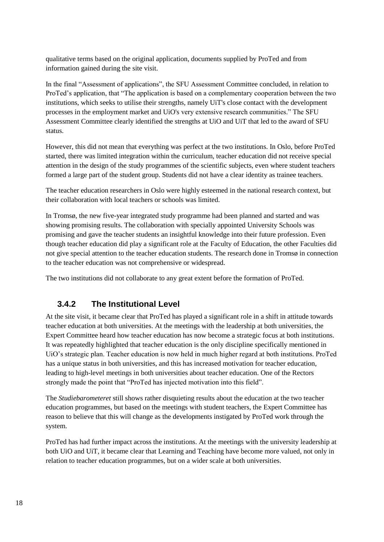qualitative terms based on the original application, documents supplied by ProTed and from information gained during the site visit.

In the final "Assessment of applications", the SFU Assessment Committee concluded, in relation to ProTed's application, that "The application is based on a complementary cooperation between the two institutions, which seeks to utilise their strengths, namely UiT's close contact with the development processes in the employment market and UiO's very extensive research communities." The SFU Assessment Committee clearly identified the strengths at UiO and UiT that led to the award of SFU status.

However, this did not mean that everything was perfect at the two institutions. In Oslo, before ProTed started, there was limited integration within the curriculum, teacher education did not receive special attention in the design of the study programmes of the scientific subjects, even where student teachers formed a large part of the student group. Students did not have a clear identity as trainee teachers.

The teacher education researchers in Oslo were highly esteemed in the national research context, but their collaboration with local teachers or schools was limited.

In Tromsø, the new five-year integrated study programme had been planned and started and was showing promising results. The collaboration with specially appointed University Schools was promising and gave the teacher students an insightful knowledge into their future profession. Even though teacher education did play a significant role at the Faculty of Education, the other Faculties did not give special attention to the teacher education students. The research done in Tromsø in connection to the teacher education was not comprehensive or widespread.

The two institutions did not collaborate to any great extent before the formation of ProTed.

### **3.4.2 The Institutional Level**

At the site visit, it became clear that ProTed has played a significant role in a shift in attitude towards teacher education at both universities. At the meetings with the leadership at both universities, the Expert Committee heard how teacher education has now become a strategic focus at both institutions. It was repeatedly highlighted that teacher education is the only discipline specifically mentioned in UiO's strategic plan. Teacher education is now held in much higher regard at both institutions. ProTed has a unique status in both universities, and this has increased motivation for teacher education, leading to high-level meetings in both universities about teacher education. One of the Rectors strongly made the point that "ProTed has injected motivation into this field".

The *Studiebarometeret* still shows rather disquieting results about the education at the two teacher education programmes, but based on the meetings with student teachers, the Expert Committee has reason to believe that this will change as the developments instigated by ProTed work through the system.

ProTed has had further impact across the institutions. At the meetings with the university leadership at both UiO and UiT, it became clear that Learning and Teaching have become more valued, not only in relation to teacher education programmes, but on a wider scale at both universities.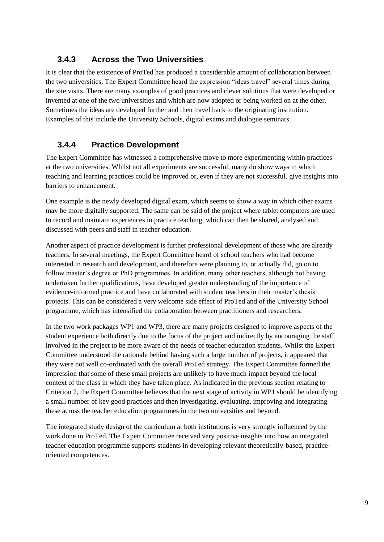### **3.4.3 Across the Two Universities**

It is clear that the existence of ProTed has produced a considerable amount of collaboration between the two universities. The Expert Committee heard the expression "ideas travel" several times during the site visits. There are many examples of good practices and clever solutions that were developed or invented at one of the two universities and which are now adopted or being worked on at the other. Sometimes the ideas are developed further and then travel back to the originating institution. Examples of this include the University Schools, digital exams and dialogue seminars.

### **3.4.4 Practice Development**

The Expert Committee has witnessed a comprehensive move to more experimenting within practices at the two universities. Whilst not all experiments are successful, many do show ways in which teaching and learning practices could be improved or, even if they are not successful, give insights into barriers to enhancement.

One example is the newly developed digital exam, which seems to show a way in which other exams may be more digitally supported. The same can be said of the project where tablet computers are used to record and maintain experiences in practice teaching, which can then be shared, analysed and discussed with peers and staff in teacher education.

Another aspect of practice development is further professional development of those who are already teachers. In several meetings, the Expert Committee heard of school teachers who had become interested in research and development, and therefore were planning to, or actually did, go on to follow master's degree or PhD programmes. In addition, many other teachers, although not having undertaken further qualifications, have developed greater understanding of the importance of evidence-informed practice and have collaborated with student teachers in their master's thesis projects. This can be considered a very welcome side effect of ProTed and of the University School programme, which has intensified the collaboration between practitioners and researchers.

In the two work packages WP1 and WP3, there are many projects designed to improve aspects of the student experience both directly due to the focus of the project and indirectly by encouraging the staff involved in the project to be more aware of the needs of teacher education students. Whilst the Expert Committee understood the rationale behind having such a large number of projects, it appeared that they were not well co-ordinated with the overall ProTed strategy. The Expert Committee formed the impression that some of these small projects are unlikely to have much impact beyond the local context of the class in which they have taken place. As indicated in the previous section relating to Criterion 2, the Expert Committee believes that the next stage of activity in WP1 should be identifying a small number of key good practices and then investigating, evaluating, improving and integrating these across the teacher education programmes in the two universities and beyond.

The integrated study design of the curriculum at both institutions is very strongly influenced by the work done in ProTed. The Expert Committee received very positive insights into how an integrated teacher education programme supports students in developing relevant theoretically-based, practiceoriented competences.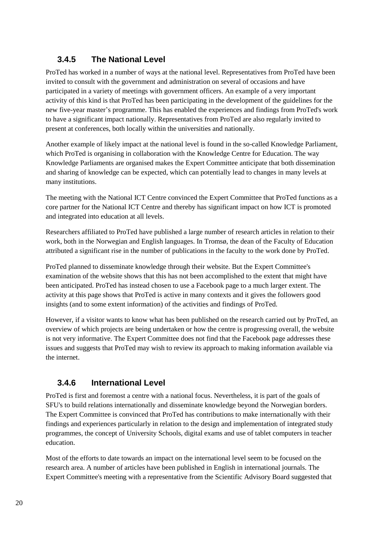### **3.4.5 The National Level**

ProTed has worked in a number of ways at the national level. Representatives from ProTed have been invited to consult with the government and administration on several of occasions and have participated in a variety of meetings with government officers. An example of a very important activity of this kind is that ProTed has been participating in the development of the guidelines for the new five-year master's programme. This has enabled the experiences and findings from ProTed's work to have a significant impact nationally. Representatives from ProTed are also regularly invited to present at conferences, both locally within the universities and nationally.

Another example of likely impact at the national level is found in the so-called Knowledge Parliament, which ProTed is organising in collaboration with the Knowledge Centre for Education. The way Knowledge Parliaments are organised makes the Expert Committee anticipate that both dissemination and sharing of knowledge can be expected, which can potentially lead to changes in many levels at many institutions.

The meeting with the National ICT Centre convinced the Expert Committee that ProTed functions as a core partner for the National ICT Centre and thereby has significant impact on how ICT is promoted and integrated into education at all levels.

Researchers affiliated to ProTed have published a large number of research articles in relation to their work, both in the Norwegian and English languages. In Tromsø, the dean of the Faculty of Education attributed a significant rise in the number of publications in the faculty to the work done by ProTed.

ProTed planned to disseminate knowledge through their website. But the Expert Committee's examination of the website shows that this has not been accomplished to the extent that might have been anticipated. ProTed has instead chosen to use a Facebook page to a much larger extent. The activity at this page shows that ProTed is active in many contexts and it gives the followers good insights (and to some extent information) of the activities and findings of ProTed.

However, if a visitor wants to know what has been published on the research carried out by ProTed, an overview of which projects are being undertaken or how the centre is progressing overall, the website is not very informative. The Expert Committee does not find that the Facebook page addresses these issues and suggests that ProTed may wish to review its approach to making information available via the internet.

### **3.4.6 International Level**

ProTed is first and foremost a centre with a national focus. Nevertheless, it is part of the goals of SFU's to build relations internationally and disseminate knowledge beyond the Norwegian borders. The Expert Committee is convinced that ProTed has contributions to make internationally with their findings and experiences particularly in relation to the design and implementation of integrated study programmes, the concept of University Schools, digital exams and use of tablet computers in teacher education.

Most of the efforts to date towards an impact on the international level seem to be focused on the research area. A number of articles have been published in English in international journals. The Expert Committee's meeting with a representative from the Scientific Advisory Board suggested that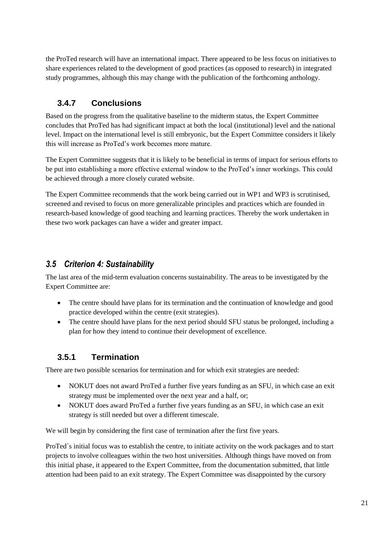the ProTed research will have an international impact. There appeared to be less focus on initiatives to share experiences related to the development of good practices (as opposed to research) in integrated study programmes, although this may change with the publication of the forthcoming anthology.

### **3.4.7 Conclusions**

Based on the progress from the qualitative baseline to the midterm status, the Expert Committee concludes that ProTed has had significant impact at both the local (institutional) level and the national level. Impact on the international level is still embryonic, but the Expert Committee considers it likely this will increase as ProTed's work becomes more mature.

The Expert Committee suggests that it is likely to be beneficial in terms of impact for serious efforts to be put into establishing a more effective external window to the ProTed's inner workings. This could be achieved through a more closely curated website.

The Expert Committee recommends that the work being carried out in WP1 and WP3 is scrutinised, screened and revised to focus on more generalizable principles and practices which are founded in research-based knowledge of good teaching and learning practices. Thereby the work undertaken in these two work packages can have a wider and greater impact.

### <span id="page-26-0"></span>*3.5 Criterion 4: Sustainability*

The last area of the mid-term evaluation concerns sustainability. The areas to be investigated by the Expert Committee are:

- The centre should have plans for its termination and the continuation of knowledge and good practice developed within the centre (exit strategies).
- The centre should have plans for the next period should SFU status be prolonged, including a plan for how they intend to continue their development of excellence.

### **3.5.1 Termination**

There are two possible scenarios for termination and for which exit strategies are needed:

- NOKUT does not award ProTed a further five years funding as an SFU, in which case an exit strategy must be implemented over the next year and a half, or;
- NOKUT does award ProTed a further five years funding as an SFU, in which case an exit strategy is still needed but over a different timescale.

We will begin by considering the first case of termination after the first five years.

ProTed`s initial focus was to establish the centre, to initiate activity on the work packages and to start projects to involve colleagues within the two host universities. Although things have moved on from this initial phase, it appeared to the Expert Committee, from the documentation submitted, that little attention had been paid to an exit strategy. The Expert Committee was disappointed by the cursory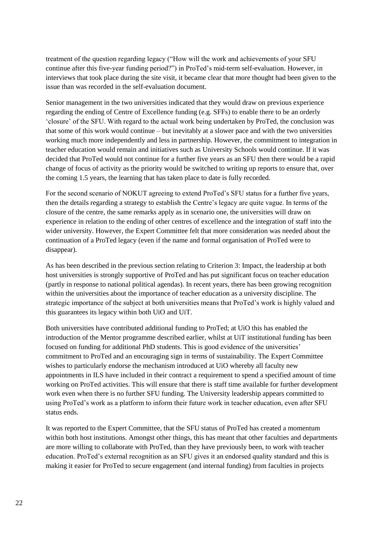treatment of the question regarding legacy ("How will the work and achievements of your SFU continue after this five-year funding period?") in ProTed's mid-term self-evaluation. However, in interviews that took place during the site visit, it became clear that more thought had been given to the issue than was recorded in the self-evaluation document.

Senior management in the two universities indicated that they would draw on previous experience regarding the ending of Centre of Excellence funding (e.g. SFFs) to enable there to be an orderly 'closure' of the SFU. With regard to the actual work being undertaken by ProTed, the conclusion was that some of this work would continue – but inevitably at a slower pace and with the two universities working much more independently and less in partnership. However, the commitment to integration in teacher education would remain and initiatives such as University Schools would continue. If it was decided that ProTed would not continue for a further five years as an SFU then there would be a rapid change of focus of activity as the priority would be switched to writing up reports to ensure that, over the coming 1.5 years, the learning that has taken place to date is fully recorded.

For the second scenario of NOKUT agreeing to extend ProTed's SFU status for a further five years, then the details regarding a strategy to establish the Centre's legacy are quite vague. In terms of the closure of the centre, the same remarks apply as in scenario one, the universities will draw on experience in relation to the ending of other centres of excellence and the integration of staff into the wider university. However, the Expert Committee felt that more consideration was needed about the continuation of a ProTed legacy (even if the name and formal organisation of ProTed were to disappear).

As has been described in the previous section relating to Criterion 3: Impact, the leadership at both host universities is strongly supportive of ProTed and has put significant focus on teacher education (partly in response to national political agendas). In recent years, there has been growing recognition within the universities about the importance of teacher education as a university discipline. The strategic importance of the subject at both universities means that ProTed's work is highly valued and this guarantees its legacy within both UiO and UiT.

Both universities have contributed additional funding to ProTed; at UiO this has enabled the introduction of the Mentor programme described earlier, whilst at UiT institutional funding has been focused on funding for additional PhD students. This is good evidence of the universities' commitment to ProTed and an encouraging sign in terms of sustainability. The Expert Committee wishes to particularly endorse the mechanism introduced at UiO whereby all faculty new appointments in ILS have included in their contract a requirement to spend a specified amount of time working on ProTed activities. This will ensure that there is staff time available for further development work even when there is no further SFU funding. The University leadership appears committed to using ProTed's work as a platform to inform their future work in teacher education, even after SFU status ends.

It was reported to the Expert Committee, that the SFU status of ProTed has created a momentum within both host institutions. Amongst other things, this has meant that other faculties and departments are more willing to collaborate with ProTed, than they have previously been, to work with teacher education. ProTed's external recognition as an SFU gives it an endorsed quality standard and this is making it easier for ProTed to secure engagement (and internal funding) from faculties in projects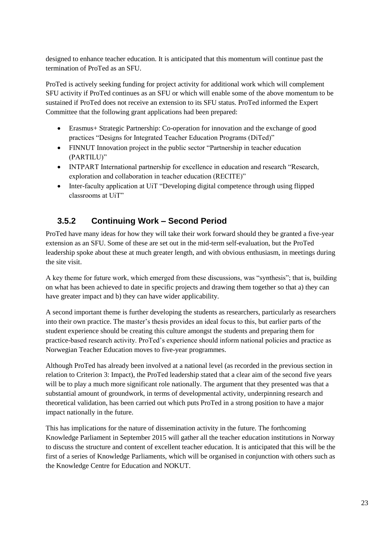designed to enhance teacher education. It is anticipated that this momentum will continue past the termination of ProTed as an SFU.

ProTed is actively seeking funding for project activity for additional work which will complement SFU activity if ProTed continues as an SFU or which will enable some of the above momentum to be sustained if ProTed does not receive an extension to its SFU status. ProTed informed the Expert Committee that the following grant applications had been prepared:

- Erasmus+ Strategic Partnership: Co-operation for innovation and the exchange of good practices "Designs for Integrated Teacher Education Programs (DiTed)"
- FINNUT Innovation project in the public sector "Partnership in teacher education (PARTILU)"
- INTPART International partnership for excellence in education and research "Research, exploration and collaboration in teacher education (RECITE)"
- Inter-faculty application at UiT "Developing digital competence through using flipped classrooms at UiT"

### **3.5.2 Continuing Work – Second Period**

ProTed have many ideas for how they will take their work forward should they be granted a five-year extension as an SFU. Some of these are set out in the mid-term self-evaluation, but the ProTed leadership spoke about these at much greater length, and with obvious enthusiasm, in meetings during the site visit.

A key theme for future work, which emerged from these discussions, was "synthesis"; that is, building on what has been achieved to date in specific projects and drawing them together so that a) they can have greater impact and b) they can have wider applicability.

A second important theme is further developing the students as researchers, particularly as researchers into their own practice. The master's thesis provides an ideal focus to this, but earlier parts of the student experience should be creating this culture amongst the students and preparing them for practice-based research activity. ProTed's experience should inform national policies and practice as Norwegian Teacher Education moves to five-year programmes.

Although ProTed has already been involved at a national level (as recorded in the previous section in relation to Criterion 3: Impact), the ProTed leadership stated that a clear aim of the second five years will be to play a much more significant role nationally. The argument that they presented was that a substantial amount of groundwork, in terms of developmental activity, underpinning research and theoretical validation, has been carried out which puts ProTed in a strong position to have a major impact nationally in the future.

This has implications for the nature of dissemination activity in the future. The forthcoming Knowledge Parliament in September 2015 will gather all the teacher education institutions in Norway to discuss the structure and content of excellent teacher education. It is anticipated that this will be the first of a series of Knowledge Parliaments, which will be organised in conjunction with others such as the Knowledge Centre for Education and NOKUT.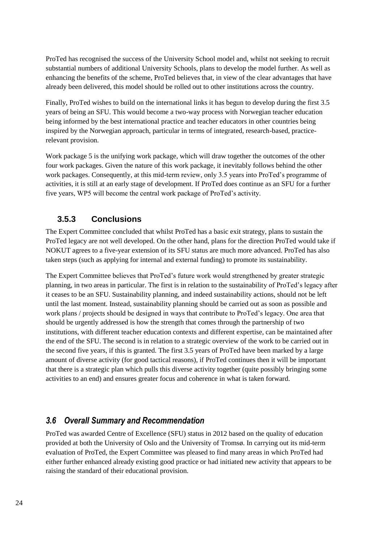ProTed has recognised the success of the University School model and, whilst not seeking to recruit substantial numbers of additional University Schools, plans to develop the model further. As well as enhancing the benefits of the scheme, ProTed believes that, in view of the clear advantages that have already been delivered, this model should be rolled out to other institutions across the country.

Finally, ProTed wishes to build on the international links it has begun to develop during the first 3.5 years of being an SFU. This would become a two-way process with Norwegian teacher education being informed by the best international practice and teacher educators in other countries being inspired by the Norwegian approach, particular in terms of integrated, research-based, practicerelevant provision.

Work package 5 is the unifying work package, which will draw together the outcomes of the other four work packages. Given the nature of this work package, it inevitably follows behind the other work packages. Consequently, at this mid-term review, only 3.5 years into ProTed's programme of activities, it is still at an early stage of development. If ProTed does continue as an SFU for a further five years, WP5 will become the central work package of ProTed's activity.

### **3.5.3 Conclusions**

The Expert Committee concluded that whilst ProTed has a basic exit strategy, plans to sustain the ProTed legacy are not well developed. On the other hand, plans for the direction ProTed would take if NOKUT agrees to a five-year extension of its SFU status are much more advanced. ProTed has also taken steps (such as applying for internal and external funding) to promote its sustainability.

The Expert Committee believes that ProTed's future work would strengthened by greater strategic planning, in two areas in particular. The first is in relation to the sustainability of ProTed's legacy after it ceases to be an SFU. Sustainability planning, and indeed sustainability actions, should not be left until the last moment. Instead, sustainability planning should be carried out as soon as possible and work plans / projects should be designed in ways that contribute to ProTed's legacy. One area that should be urgently addressed is how the strength that comes through the partnership of two institutions, with different teacher education contexts and different expertise, can be maintained after the end of the SFU. The second is in relation to a strategic overview of the work to be carried out in the second five years, if this is granted. The first 3.5 years of ProTed have been marked by a large amount of diverse activity (for good tactical reasons), if ProTed continues then it will be important that there is a strategic plan which pulls this diverse activity together (quite possibly bringing some activities to an end) and ensures greater focus and coherence in what is taken forward.

#### <span id="page-29-0"></span>*3.6 Overall Summary and Recommendation*

ProTed was awarded Centre of Excellence (SFU) status in 2012 based on the quality of education provided at both the University of Oslo and the University of Tromsø. In carrying out its mid-term evaluation of ProTed, the Expert Committee was pleased to find many areas in which ProTed had either further enhanced already existing good practice or had initiated new activity that appears to be raising the standard of their educational provision.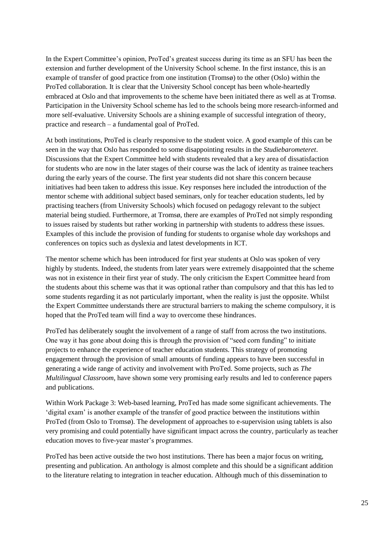In the Expert Committee's opinion, ProTed's greatest success during its time as an SFU has been the extension and further development of the University School scheme. In the first instance, this is an example of transfer of good practice from one institution (Tromsø) to the other (Oslo) within the ProTed collaboration. It is clear that the University School concept has been whole-heartedly embraced at Oslo and that improvements to the scheme have been initiated there as well as at Tromsø. Participation in the University School scheme has led to the schools being more research-informed and more self-evaluative. University Schools are a shining example of successful integration of theory, practice and research – a fundamental goal of ProTed.

At both institutions, ProTed is clearly responsive to the student voice. A good example of this can be seen in the way that Oslo has responded to some disappointing results in the *Studiebarometeret*. Discussions that the Expert Committee held with students revealed that a key area of dissatisfaction for students who are now in the later stages of their course was the lack of identity as trainee teachers during the early years of the course. The first year students did not share this concern because initiatives had been taken to address this issue. Key responses here included the introduction of the mentor scheme with additional subject based seminars, only for teacher education students, led by practising teachers (from University Schools) which focused on pedagogy relevant to the subject material being studied. Furthermore, at Tromsø, there are examples of ProTed not simply responding to issues raised by students but rather working in partnership with students to address these issues. Examples of this include the provision of funding for students to organise whole day workshops and conferences on topics such as dyslexia and latest developments in ICT.

The mentor scheme which has been introduced for first year students at Oslo was spoken of very highly by students. Indeed, the students from later years were extremely disappointed that the scheme was not in existence in their first year of study. The only criticism the Expert Committee heard from the students about this scheme was that it was optional rather than compulsory and that this has led to some students regarding it as not particularly important, when the reality is just the opposite. Whilst the Expert Committee understands there are structural barriers to making the scheme compulsory, it is hoped that the ProTed team will find a way to overcome these hindrances.

ProTed has deliberately sought the involvement of a range of staff from across the two institutions. One way it has gone about doing this is through the provision of "seed corn funding" to initiate projects to enhance the experience of teacher education students. This strategy of promoting engagement through the provision of small amounts of funding appears to have been successful in generating a wide range of activity and involvement with ProTed. Some projects, such as *The Multilingual Classroom*, have shown some very promising early results and led to conference papers and publications.

Within Work Package 3: Web-based learning, ProTed has made some significant achievements. The 'digital exam' is another example of the transfer of good practice between the institutions within ProTed (from Oslo to Tromsø). The development of approaches to e-supervision using tablets is also very promising and could potentially have significant impact across the country, particularly as teacher education moves to five-year master's programmes.

ProTed has been active outside the two host institutions. There has been a major focus on writing, presenting and publication. An anthology is almost complete and this should be a significant addition to the literature relating to integration in teacher education. Although much of this dissemination to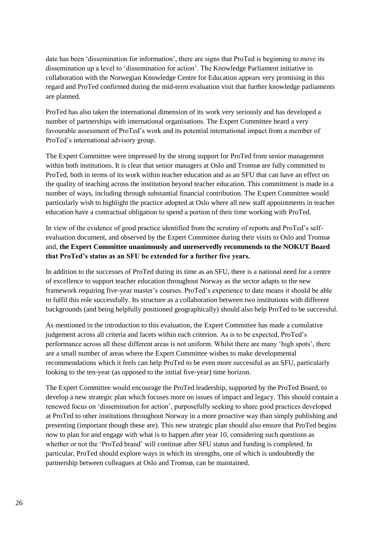date has been 'dissemination for information', there are signs that ProTed is beginning to move its dissemination up a level to 'dissemination for action'. The Knowledge Parliament initiative in collaboration with the Norwegian Knowledge Centre for Education appears very promising in this regard and ProTed confirmed during the mid-term evaluation visit that further knowledge parliaments are planned.

ProTed has also taken the international dimension of its work very seriously and has developed a number of partnerships with international organisations. The Expert Committee heard a very favourable assessment of ProTed's work and its potential international impact from a member of ProTed's international advisory group.

The Expert Committee were impressed by the strong support for ProTed from senior management within both institutions. It is clear that senior managers at Oslo and Tromsø are fully committed to ProTed, both in terms of its work within teacher education and as an SFU that can have an effect on the quality of teaching across the institution beyond teacher education. This commitment is made in a number of ways, including through substantial financial contribution. The Expert Committee would particularly wish to highlight the practice adopted at Oslo where all new staff appointments in teacher education have a contractual obligation to spend a portion of their time working with ProTed.

In view of the evidence of good practice identified from the scrutiny of reports and ProTed's selfevaluation document, and observed by the Expert Committee during their visits to Oslo and Tromsø and, **the Expert Committee unanimously and unreservedly recommends to the NOKUT Board that ProTed's status as an SFU be extended for a further five years.**

In addition to the successes of ProTed during its time as an SFU, there is a national need for a centre of excellence to support teacher education throughout Norway as the sector adapts to the new framework requiring five-year master's courses. ProTed's experience to date means it should be able to fulfil this role successfully. Its structure as a collaboration between two institutions with different backgrounds (and being helpfully positioned geographically) should also help ProTed to be successful.

As mentioned in the introduction to this evaluation, the Expert Committee has made a cumulative judgement across all criteria and facets within each criterion. As is to be expected, ProTed's performance across all these different areas is not uniform. Whilst there are many 'high spots', there are a small number of areas where the Expert Committee wishes to make developmental recommendations which it feels can help ProTed to be even more successful as an SFU, particularly looking to the ten-year (as opposed to the initial five-year) time horizon.

The Expert Committee would encourage the ProTed leadership, supported by the ProTed Board, to develop a new strategic plan which focuses more on issues of impact and legacy. This should contain a renewed focus on 'dissemination for action', purposefully seeking to share good practices developed at ProTed to other institutions throughout Norway in a more proactive way than simply publishing and presenting (important though these are). This new strategic plan should also ensure that ProTed begins now to plan for and engage with what is to happen after year 10, considering such questions as whether or not the 'ProTed brand' will continue after SFU status and funding is completed. In particular, ProTed should explore ways in which its strengths, one of which is undoubtedly the partnership between colleagues at Oslo and Tromsø, can be maintained.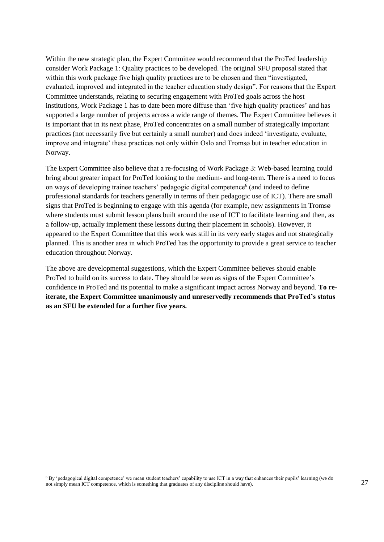Within the new strategic plan, the Expert Committee would recommend that the ProTed leadership consider Work Package 1: Quality practices to be developed. The original SFU proposal stated that within this work package five high quality practices are to be chosen and then "investigated, evaluated, improved and integrated in the teacher education study design". For reasons that the Expert Committee understands, relating to securing engagement with ProTed goals across the host institutions, Work Package 1 has to date been more diffuse than 'five high quality practices' and has supported a large number of projects across a wide range of themes. The Expert Committee believes it is important that in its next phase, ProTed concentrates on a small number of strategically important practices (not necessarily five but certainly a small number) and does indeed 'investigate, evaluate, improve and integrate' these practices not only within Oslo and Tromsø but in teacher education in Norway.

The Expert Committee also believe that a re-focusing of Work Package 3: Web-based learning could bring about greater impact for ProTed looking to the medium- and long-term. There is a need to focus on ways of developing trainee teachers' pedagogic digital competence<sup>6</sup> (and indeed to define professional standards for teachers generally in terms of their pedagogic use of ICT). There are small signs that ProTed is beginning to engage with this agenda (for example, new assignments in Tromsø where students must submit lesson plans built around the use of ICT to facilitate learning and then, as a follow-up, actually implement these lessons during their placement in schools). However, it appeared to the Expert Committee that this work was still in its very early stages and not strategically planned. This is another area in which ProTed has the opportunity to provide a great service to teacher education throughout Norway.

The above are developmental suggestions, which the Expert Committee believes should enable ProTed to build on its success to date. They should be seen as signs of the Expert Committee's confidence in ProTed and its potential to make a significant impact across Norway and beyond. **To reiterate, the Expert Committee unanimously and unreservedly recommends that ProTed's status as an SFU be extended for a further five years.**

<sup>6</sup> By 'pedagogical digital competence' we mean student teachers' capability to use ICT in a way that enhances their pupils' learning (we do not simply mean ICT competence, which is something that graduates of any discipline should have).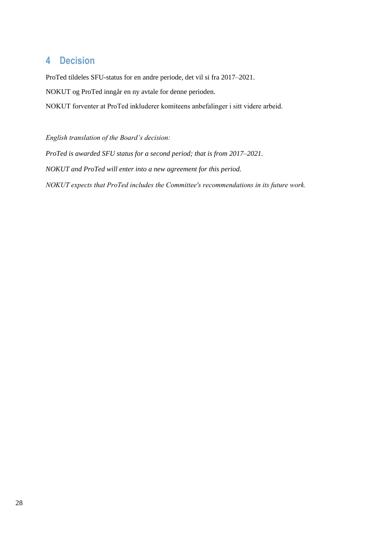### <span id="page-33-0"></span>**4 Decision**

ProTed tildeles SFU-status for en andre periode, det vil si fra 2017–2021. NOKUT og ProTed inngår en ny avtale for denne perioden. NOKUT forventer at ProTed inkluderer komiteens anbefalinger i sitt videre arbeid.

*English translation of the Board's decision: ProTed is awarded SFU status for a second period; that is from 2017–2021. NOKUT and ProTed will enter into a new agreement for this period. NOKUT expects that ProTed includes the Committee's recommendations in its future work.*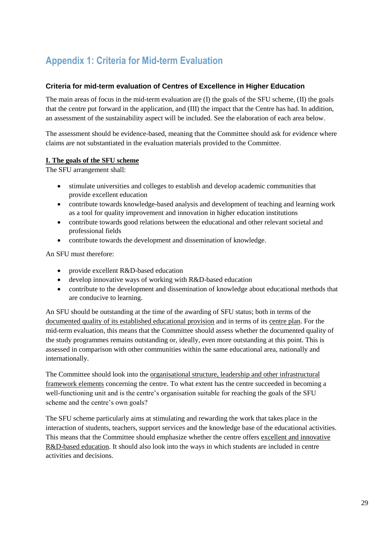# <span id="page-34-0"></span>**Appendix 1: Criteria for Mid-term Evaluation**

#### **Criteria for mid-term evaluation of Centres of Excellence in Higher Education**

The main areas of focus in the mid-term evaluation are (I) the goals of the SFU scheme, (II) the goals that the centre put forward in the application, and (III) the impact that the Centre has had. In addition, an assessment of the sustainability aspect will be included. See the elaboration of each area below.

The assessment should be evidence-based, meaning that the Committee should ask for evidence where claims are not substantiated in the evaluation materials provided to the Committee.

#### **I. The goals of the SFU scheme**

The SFU arrangement shall:

- stimulate universities and colleges to establish and develop academic communities that provide excellent education
- contribute towards knowledge-based analysis and development of teaching and learning work as a tool for quality improvement and innovation in higher education institutions
- contribute towards good relations between the educational and other relevant societal and professional fields
- contribute towards the development and dissemination of knowledge.

An SFU must therefore:

- provide excellent R&D-based education
- develop innovative ways of working with R&D-based education
- contribute to the development and dissemination of knowledge about educational methods that are conducive to learning.

An SFU should be outstanding at the time of the awarding of SFU status; both in terms of the documented quality of its established educational provision and in terms of its centre plan. For the mid-term evaluation, this means that the Committee should assess whether the documented quality of the study programmes remains outstanding or, ideally, even more outstanding at this point. This is assessed in comparison with other communities within the same educational area, nationally and internationally.

The Committee should look into the organisational structure, leadership and other infrastructural framework elements concerning the centre. To what extent has the centre succeeded in becoming a well-functioning unit and is the centre's organisation suitable for reaching the goals of the SFU scheme and the centre's own goals?

The SFU scheme particularly aims at stimulating and rewarding the work that takes place in the interaction of students, teachers, support services and the knowledge base of the educational activities. This means that the Committee should emphasize whether the centre offers excellent and innovative R&D-based education. It should also look into the ways in which students are included in centre activities and decisions.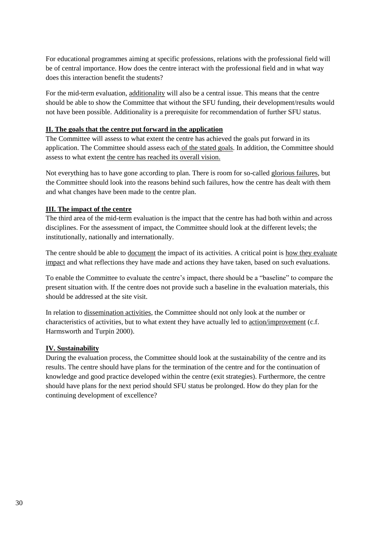For educational programmes aiming at specific professions, relations with the professional field will be of central importance. How does the centre interact with the professional field and in what way does this interaction benefit the students?

For the mid-term evaluation, additionality will also be a central issue. This means that the centre should be able to show the Committee that without the SFU funding, their development/results would not have been possible. Additionality is a prerequisite for recommendation of further SFU status.

#### **II. The goals that the centre put forward in the application**

The Committee will assess to what extent the centre has achieved the goals put forward in its application. The Committee should assess each of the stated goals. In addition, the Committee should assess to what extent the centre has reached its overall vision.

Not everything has to have gone according to plan. There is room for so-called glorious failures, but the Committee should look into the reasons behind such failures, how the centre has dealt with them and what changes have been made to the centre plan.

#### **III. The impact of the centre**

The third area of the mid-term evaluation is the impact that the centre has had both within and across disciplines. For the assessment of impact, the Committee should look at the different levels; the institutionally, nationally and internationally.

The centre should be able to <u>document</u> the impact of its activities. A critical point is how they evaluate impact and what reflections they have made and actions they have taken, based on such evaluations.

To enable the Committee to evaluate the centre's impact, there should be a "baseline" to compare the present situation with. If the centre does not provide such a baseline in the evaluation materials, this should be addressed at the site visit.

In relation to dissemination activities, the Committee should not only look at the number or characteristics of activities, but to what extent they have actually led to action/improvement (c.f. Harmsworth and Turpin 2000).

#### **IV. Sustainability**

During the evaluation process, the Committee should look at the sustainability of the centre and its results. The centre should have plans for the termination of the centre and for the continuation of knowledge and good practice developed within the centre (exit strategies). Furthermore, the centre should have plans for the next period should SFU status be prolonged. How do they plan for the continuing development of excellence?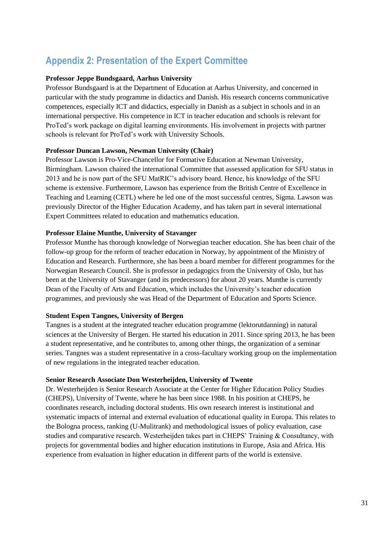# <span id="page-36-0"></span>**Appendix 2: Presentation of the Expert Committee**

#### **Professor Jeppe Bundsgaard, Aarhus University**

Professor Bundsgaard is at the Department of Education at Aarhus University, and concerned in particular with the study programme in didactics and Danish. His research concerns communicative competences, especially ICT and didactics, especially in Danish as a subject in schools and in an international perspective. His competence in ICT in teacher education and schools is relevant for ProTed's work package on digital learning environments. His involvement in projects with partner schools is relevant for ProTed's work with University Schools.

#### **Professor Duncan Lawson, Newman University (Chair)**

Professor Lawson is Pro-Vice-Chancellor for Formative Education at Newman University, Birmingham. Lawson chaired the international Committee that assessed application for SFU status in 2013 and he is now part of the SFU MatRIC's advisory board. Hence, his knowledge of the SFU scheme is extensive. Furthermore, Lawson has experience from the British Centre of Excellence in Teaching and Learning (CETL) where he led one of the most successful centres, Sigma. Lawson was previously Director of the Higher Education Academy, and has taken part in several international Expert Committees related to education and mathematics education.

#### **Professor Elaine Munthe, University of Stavanger**

Professor Munthe has thorough knowledge of Norwegian teacher education. She has been chair of the follow-up group for the reform of teacher education in Norway, by appointment of the Ministry of Education and Research. Furthermore, she has been a board member for different programmes for the Norwegian Research Council. She is professor in pedagogics from the University of Oslo, but has been at the University of Stavanger (and its predecessors) for about 20 years. Munthe is currently Dean of the Faculty of Arts and Education, which includes the University's teacher education programmes, and previously she was Head of the Department of Education and Sports Science.

#### **Student Espen Tangnes, University of Bergen**

Tangnes is a student at the integrated teacher education programme (lektorutdanning) in natural sciences at the University of Bergen. He started his education in 2011. Since spring 2013, he has been a student representative, and he contributes to, among other things, the organization of a seminar series. Tangnes was a student representative in a cross-facultary working group on the implementation of new regulations in the integrated teacher education.

#### **Senior Research Associate Don Westerheijden, University of Twente**

Dr. Westerheijden is Senior Research Associate at the Center for Higher Education Policy Studies (CHEPS), University of Twente, where he has been since 1988. In his position at CHEPS, he coordinates research, including doctoral students. His own research interest is institutional and systematic impacts of internal and external evaluation of educational quality in Europa. This relates to the Bologna process, ranking (U-Mulitrank) and methodological issues of policy evaluation, case studies and comparative research. Westerheijden takes part in CHEPS' Training & Consultancy, with projects for governmental bodies and higher education institutions in Europe, Asia and Africa. His experience from evaluation in higher education in different parts of the world is extensive.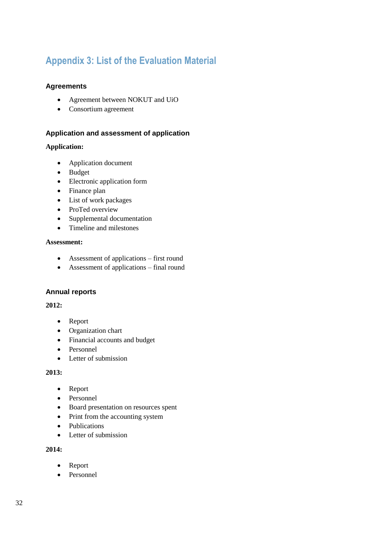# <span id="page-37-0"></span>**Appendix 3: List of the Evaluation Material**

#### **Agreements**

- Agreement between NOKUT and UiO
- Consortium agreement

#### **Application and assessment of application**

#### **Application:**

- Application document
- Budget
- Electronic application form
- Finance plan
- List of work packages
- ProTed overview
- Supplemental documentation
- Timeline and milestones

#### **Assessment:**

- Assessment of applications first round
- Assessment of applications final round

#### **Annual reports**

#### **2012:**

- Report
- Organization chart
- Financial accounts and budget
- Personnel
- Letter of submission

#### **2013:**

- Report
- Personnel
- Board presentation on resources spent
- Print from the accounting system
- Publications
- Letter of submission

#### **2014:**

- Report
- Personnel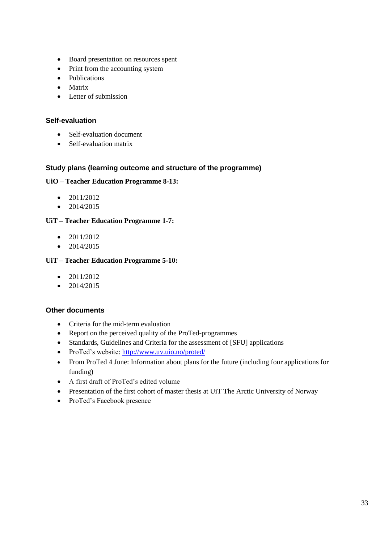- Board presentation on resources spent
- Print from the accounting system
- Publications
- Matrix
- Letter of submission

#### **Self-evaluation**

- Self-evaluation document
- Self-evaluation matrix

#### **Study plans (learning outcome and structure of the programme)**

#### **UiO – Teacher Education Programme 8-13:**

- $\bullet$  2011/2012
- $\bullet$  2014/2015

#### **UiT – Teacher Education Programme 1-7:**

- $\bullet$  2011/2012
- $\bullet$  2014/2015

#### **UiT – Teacher Education Programme 5-10:**

- $\bullet$  2011/2012
- $\bullet$  2014/2015

#### **Other documents**

- Criteria for the mid-term evaluation
- Report on the perceived quality of the ProTed-programmes
- Standards, Guidelines and Criteria for the assessment of [SFU] applications
- ProTed's website:<http://www.uv.uio.no/proted/>
- From ProTed 4 June: Information about plans for the future (including four applications for funding)
- A first draft of ProTed's edited volume
- Presentation of the first cohort of master thesis at UiT The Arctic University of Norway
- ProTed's Facebook presence